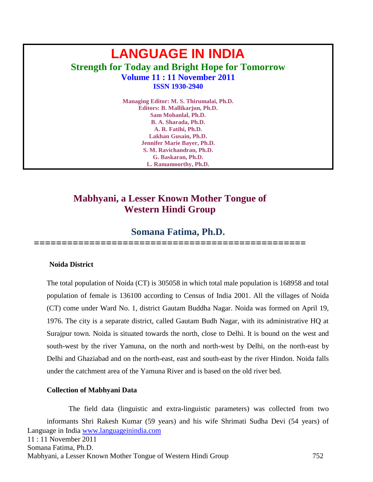# **LANGUAGE IN INDIA Strength for Today and Bright Hope for Tomorrow Volume 11 : 11 November 2011 ISSN 1930-2940**

**Managing Editor: M. S. Thirumalai, Ph.D. Editors: B. Mallikarjun, Ph.D. Sam Mohanlal, Ph.D. B. A. Sharada, Ph.D. A. R. Fatihi, Ph.D. Lakhan Gusain, Ph.D. Jennifer Marie Bayer, Ph.D. S. M. Ravichandran, Ph.D. G. Baskaran, Ph.D. L. Ramamoorthy, Ph.D.**

# **Mabhyani, a Lesser Known Mother Tongue of Western Hindi Group**

# **Somana Fatima, Ph.D.**

**=================================================**

#### **Noida District**

The total population of Noida (CT) is 305058 in which total male population is 168958 and total population of female is 136100 according to Census of India 2001. All the villages of Noida (CT) come under Ward No. 1, district Gautam Buddha Nagar. Noida was formed on April 19, 1976. The city is a separate district, called Gautam Budh Nagar, with its administrative HQ at Surajpur town. Noida is situated towards the north, close to Delhi. It is bound on the west and south-west by the river Yamuna, on the north and north-west by Delhi, on the north-east by Delhi and Ghaziabad and on the north-east, east and south-east by the river Hindon. Noida falls under the catchment area of the Yamuna River and is based on the old river bed.

#### **Collection of Mabhyani Data**

Language in India [www.languageinindia.com](http://www.languageinindia.com/) 11 : 11 November 2011 Somana Fatima, Ph.D. Mabhyani, a Lesser Known Mother Tongue of Western Hindi Group 752 The field data (linguistic and extra-linguistic parameters) was collected from two informants Shri Rakesh Kumar (59 years) and his wife Shrimati Sudha Devi (54 years) of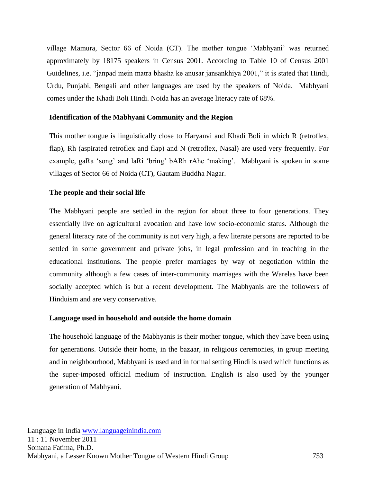village Mamura, Sector 66 of Noida (CT). The mother tongue 'Mabhyani' was returned approximately by 18175 speakers in Census 2001. According to Table 10 of Census 2001 Guidelines, i.e. "janpad mein matra bhasha ke anusar jansankhiya 2001," it is stated that Hindi, Urdu, Punjabi, Bengali and other languages are used by the speakers of Noida. Mabhyani comes under the Khadi Boli Hindi. Noida has an average literacy rate of 68%.

#### **Identification of the Mabhyani Community and the Region**

This mother tongue is linguistically close to Haryanvi and Khadi Boli in which R (retroflex, flap), Rh (aspirated retroflex and flap) and N (retroflex, Nasal) are used very frequently. For example, gaRa 'song' and laRi 'bring' bARh rAhe 'making'. Mabhyani is spoken in some villages of Sector 66 of Noida (CT), Gautam Buddha Nagar.

## **The people and their social life**

The Mabhyani people are settled in the region for about three to four generations. They essentially live on agricultural avocation and have low socio-economic status. Although the general literacy rate of the community is not very high, a few literate persons are reported to be settled in some government and private jobs, in legal profession and in teaching in the educational institutions. The people prefer marriages by way of negotiation within the community although a few cases of inter-community marriages with the Warelas have been socially accepted which is but a recent development. The Mabhyanis are the followers of Hinduism and are very conservative.

#### **Language used in household and outside the home domain**

The household language of the Mabhyanis is their mother tongue, which they have been using for generations. Outside their home, in the bazaar, in religious ceremonies, in group meeting and in neighbourhood, Mabhyani is used and in formal setting Hindi is used which functions as the super-imposed official medium of instruction. English is also used by the younger generation of Mabhyani.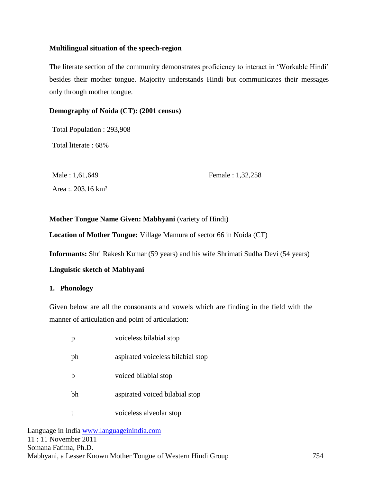#### **Multilingual situation of the speech-region**

The literate section of the community demonstrates proficiency to interact in 'Workable Hindi' besides their mother tongue. Majority understands Hindi but communicates their messages only through mother tongue.

## **Demography of Noida (CT): (2001 census)**

Total Population : 293,908

Total literate : 68%

Male : 1,61,649 Female : 1,32,258 Area :. 203.16 km²

## **Mother Tongue Name Given: Mabhyani** (variety of Hindi)

**Location of Mother Tongue:** Village Mamura of sector 66 in Noida (CT)

**Informants:** Shri Rakesh Kumar (59 years) and his wife Shrimati Sudha Devi (54 years)

# **Linguistic sketch of Mabhyani**

# **1. Phonology**

Given below are all the consonants and vowels which are finding in the field with the manner of articulation and point of articulation:

|    | voiceless bilabial stop           |
|----|-----------------------------------|
| ph | aspirated voiceless bilabial stop |
| h  | voiced bilabial stop              |
| bh | aspirated voiced bilabial stop    |
|    | voiceless alveolar stop           |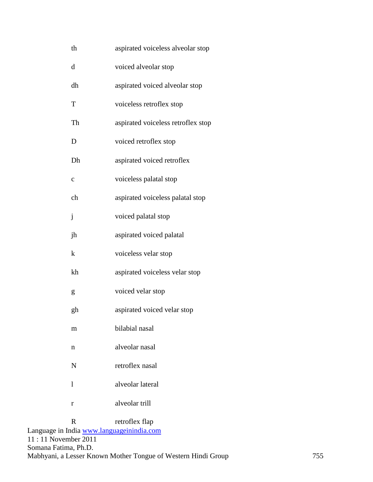| th           | aspirated voiceless alveolar stop               |
|--------------|-------------------------------------------------|
| d            | voiced alveolar stop                            |
| dh           | aspirated voiced alveolar stop                  |
| T            | voiceless retroflex stop                        |
| Th           | aspirated voiceless retroflex stop              |
| D            | voiced retroflex stop                           |
| Dh           | aspirated voiced retroflex                      |
| $\mathbf c$  | voiceless palatal stop                          |
| ch           | aspirated voiceless palatal stop                |
| $\mathbf{j}$ | voiced palatal stop                             |
| jh           | aspirated voiced palatal                        |
| k            | voiceless velar stop                            |
| kh           | aspirated voiceless velar stop                  |
| g            | voiced velar stop                               |
| gh           | aspirated voiced velar stop                     |
| m            | bilabial nasal                                  |
| n            | alveolar nasal                                  |
| N            | retroflex nasal                                 |
| 1            | alveolar lateral                                |
| r            | alveolar trill                                  |
| $\mathbf R$  | retroflex flap<br>India www.languageinindia.com |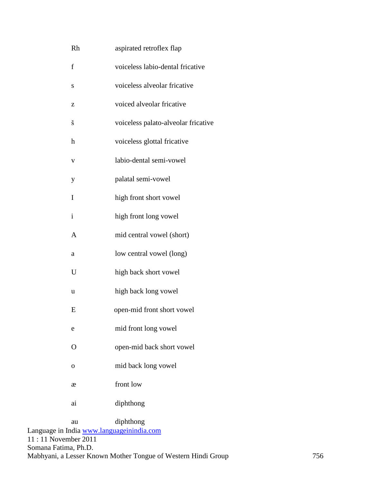| Rh                        | aspirated retroflex flap                   |
|---------------------------|--------------------------------------------|
| f                         | voiceless labio-dental fricative           |
| S                         | voiceless alveolar fricative               |
| Z                         | voiced alveolar fricative                  |
| š                         | voiceless palato-alveolar fricative        |
| $\boldsymbol{\mathrm{h}}$ | voiceless glottal fricative                |
| V                         | labio-dental semi-vowel                    |
| y                         | palatal semi-vowel                         |
| I                         | high front short vowel                     |
| $\mathbf{i}$              | high front long vowel                      |
| $\mathbf{A}$              | mid central vowel (short)                  |
| a                         | low central vowel (long)                   |
| U                         | high back short vowel                      |
| u                         | high back long vowel                       |
| E                         | open-mid front short vowel                 |
| e                         | mid front long vowel                       |
| $\overline{O}$            | open-mid back short vowel                  |
| $\mathbf{O}$              | mid back long vowel                        |
| æ                         | front low                                  |
| ai                        | diphthong                                  |
| au                        | diphthong<br>India www.languagainindia com |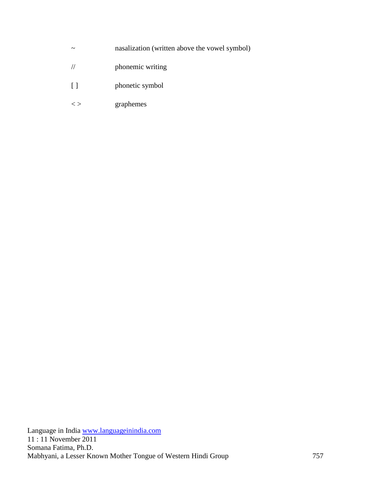- ~ nasalization (written above the vowel symbol)
- // phonemic writing
- [ ] phonetic symbol
- < > graphemes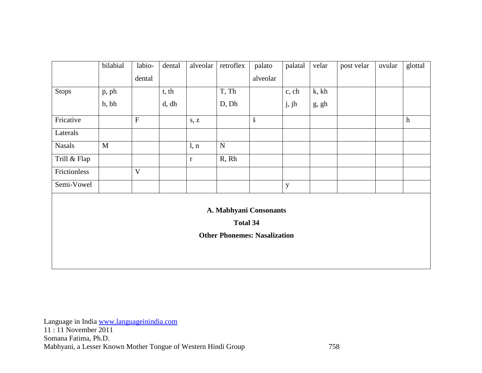|                        | bilabial                            | labio-    | dental | alveolar | retroflex   | palato               | palatal     | velar | post velar | uvular | glottal |
|------------------------|-------------------------------------|-----------|--------|----------|-------------|----------------------|-------------|-------|------------|--------|---------|
|                        |                                     | dental    |        |          |             | alveolar             |             |       |            |        |         |
| <b>Stops</b>           | p, ph                               |           | t, th  |          | T, Th       |                      | c, ch       | k, kh |            |        |         |
|                        | b, bh                               |           | d, dh  |          | D, Dh       |                      | j, jh       | g, gh |            |        |         |
| Fricative              |                                     | ${\bf F}$ |        | s, z     |             | $\check{\mathbf{S}}$ |             |       |            |        | h       |
| Laterals               |                                     |           |        |          |             |                      |             |       |            |        |         |
| <b>Nasals</b>          | $\mathbf{M}$                        |           |        | l, n     | $\mathbf N$ |                      |             |       |            |        |         |
| Trill & Flap           |                                     |           |        | $\bf r$  | R, Rh       |                      |             |       |            |        |         |
| Frictionless           |                                     | V         |        |          |             |                      |             |       |            |        |         |
| Semi-Vowel             |                                     |           |        |          |             |                      | $\mathbf y$ |       |            |        |         |
| A. Mabhyani Consonants |                                     |           |        |          |             |                      |             |       |            |        |         |
| <b>Total 34</b>        |                                     |           |        |          |             |                      |             |       |            |        |         |
|                        | <b>Other Phonemes: Nasalization</b> |           |        |          |             |                      |             |       |            |        |         |
|                        |                                     |           |        |          |             |                      |             |       |            |        |         |
|                        |                                     |           |        |          |             |                      |             |       |            |        |         |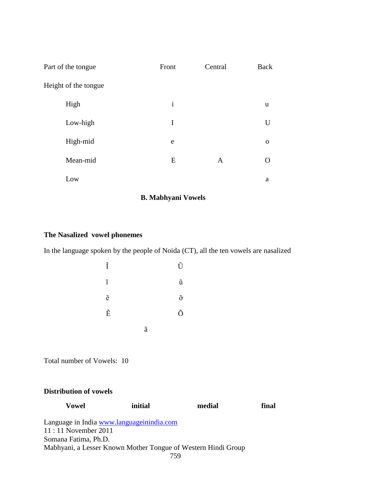| Part of the tongue   | Front        | Central      | <b>Back</b> |
|----------------------|--------------|--------------|-------------|
| Height of the tongue |              |              |             |
| High                 | $\mathbf{i}$ |              | u           |
| Low-high             | I            |              | U           |
| High-mid             | e            |              | $\mathbf 0$ |
| Mean-mid             | ${\bf E}$    | $\mathbf{A}$ | ( )         |
| Low                  |              |              | a           |

## **B. Mabhyani Vowels**

# **The Nasalized vowel phonemes**

In the language spoken by the people of Noida (CT), all the ten vowels are nasalized

| Ĩ                  |                    | Ũ                  |
|--------------------|--------------------|--------------------|
| $\tilde{1}$        |                    | ũ                  |
| $\tilde{\text{e}}$ |                    | $\tilde{\text{o}}$ |
| $\tilde{\text{E}}$ |                    | Õ                  |
|                    | $\tilde{\text{a}}$ |                    |

Total number of Vowels: 10

#### **Distribution of vowels**

| Vowel                                                         | initial | medial | final |
|---------------------------------------------------------------|---------|--------|-------|
| Language in India www.languageinindia.com                     |         |        |       |
| $11:11$ November 2011                                         |         |        |       |
| Somana Fatima, Ph.D.                                          |         |        |       |
| Mabhyani, a Lesser Known Mother Tongue of Western Hindi Group |         |        |       |
|                                                               |         |        |       |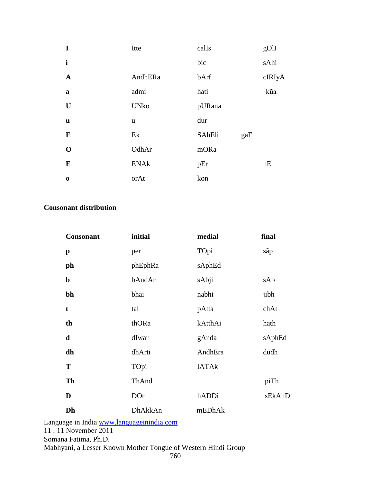| I            | Itte        | calIs  |     | gOlI   |
|--------------|-------------|--------|-----|--------|
| $\mathbf{i}$ |             | bic    |     | sAhi   |
| $\mathbf A$  | AndhERa     | bArf   |     | cIRIyA |
| $\bf{a}$     | admi        | hati   |     | kũa    |
| U            | <b>UNko</b> | pURana |     |        |
| u            | u           | dur    |     |        |
| E            | Ek          | SAhEli | gaE |        |
| $\mathbf 0$  | OdhAr       | mORa   |     |        |
| E            | <b>ENAk</b> | pEr    |     | hE     |
| $\bf{0}$     | orAt        | kon    |     |        |

# **Consonant distribution**

| <b>Consonant</b> | initial    | medial       | final  |
|------------------|------------|--------------|--------|
| $\mathbf p$      | per        | TOpi         | sãp    |
| ph               | phEphRa    | sAphEd       |        |
| $\mathbf b$      | bAndAr     | sAbji        | sAb    |
| bh               | bhai       | nabhi        | jibh   |
| t                | tal        | pAtta        | chAt   |
| th               | thORa      | kAtthAi      | hath   |
| d                | dIwar      | gAnda        | sAphEd |
| dh               | dhArti     | AndhEra      | dudh   |
| T                | TOpi       | <b>IATAk</b> |        |
| Th               | ThAnd      |              | piTh   |
| D                | <b>DOr</b> | hADDi        | sEkAnD |
| Dh               | DhAkkAn    | mEDhAk       |        |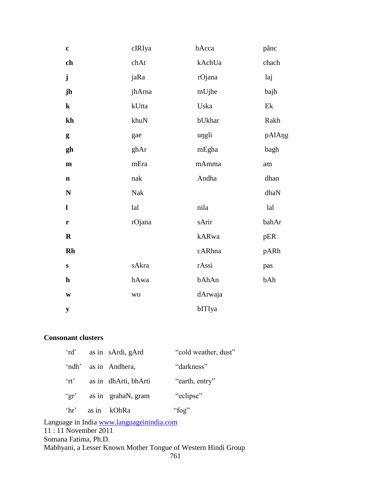| $\mathbf c$   | cIRIya    | bAcca   | pãnc   |
|---------------|-----------|---------|--------|
| ch            | chAt      | kAchUa  | chach  |
| ${\bf j}$     | jaRa      | rOjana  | laj    |
| jh            | jhArna    | mUjhe   | bajh   |
| $\bf k$       | kUtta     | Uska    | Ek     |
| $\mathbf{kh}$ | khuN      | bUkhar  | Rakh   |
| g             | gae       | ungli   | pAlAng |
| gh            | ghAr      | mEgha   | bagh   |
| $\mathbf m$   | mEra      | mAmma   | am     |
| $\mathbf n$   | nak       | Andha   | dhan   |
| ${\bf N}$     | Nak       |         | dhaN   |
| $\mathbf{l}$  | lal       | nila    | lal    |
| $\mathbf r$   | rOjana    | sArir   | bahAr  |
| $\mathbf R$   |           | kARwa   | pER    |
| Rh            |           | cARhna  | pARh   |
| ${\bf S}$     | sAkra     | rAssi   | pas    |
| $\mathbf h$   | hAwa      | bAhAn   | bAh    |
| $\mathbf{W}$  | <b>WO</b> | dArwaja |        |
| ${\bf y}$     |           | bITIya  |        |

# **Consonant clusters**

| $\int d^3$                         | as in sArdi, gArd    | "cold weather, dust" |
|------------------------------------|----------------------|----------------------|
| 'ndh'                              | as in Andhera,       | "darkness"           |
| $\int$ <sup>'</sup> n <sup>'</sup> | as in dhArti, bhArti | "earth, entry"       |
| $\gamma$ gr'                       | as in grahaN, gram   | "eclipse"            |
| $^{\circ}$ hr'                     | as in kOhRa          | "fog"                |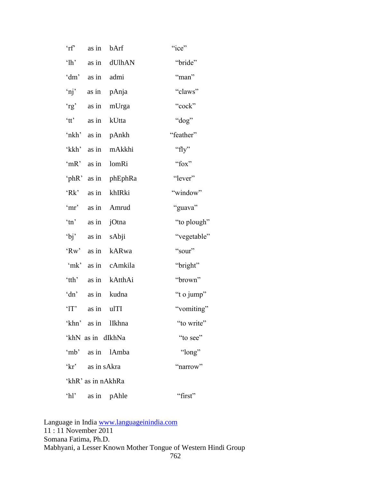| $\int$                                                                                                                                                                                                                                                                                                                                                                                                                                                                                                                                 | as in              | bArf                | "ice"       |
|----------------------------------------------------------------------------------------------------------------------------------------------------------------------------------------------------------------------------------------------------------------------------------------------------------------------------------------------------------------------------------------------------------------------------------------------------------------------------------------------------------------------------------------|--------------------|---------------------|-------------|
| $^{\circ}$ lh'                                                                                                                                                                                                                                                                                                                                                                                                                                                                                                                         | as in              | dUlhAN              | "bride"     |
| 'dm'                                                                                                                                                                                                                                                                                                                                                                                                                                                                                                                                   | as in admi         |                     | "man"       |
| $'$ nj'                                                                                                                                                                                                                                                                                                                                                                                                                                                                                                                                |                    | as in pAnja         | "claws"     |
| $r_g$                                                                                                                                                                                                                                                                                                                                                                                                                                                                                                                                  |                    | as in mUrga         | "cock"      |
| $\lq$ <sup>+</sup> $\lq$ <sup>+</sup> $\lq$ <sup>+</sup> $\lq$ <sup>+</sup> $\lq$ <sup>+</sup> $\lq$ <sup>+</sup> $\lq$ <sup>+</sup> $\lq$ <sup>+</sup> $\lq$ <sup>+</sup> $\lq$ <sup>+</sup> $\lq$ <sup>+</sup> $\lq$ <sup>+</sup> $\lq$ <sup>+</sup> $\lq$ <sup>+</sup> $\lq$ <sup>+</sup> $\lq$ <sup>+</sup> $\lq$ <sup>+</sup> $\lq$ <sup>+</sup> $\lq$ <sup>+</sup> $\lq$ <sup>+</sup> $\lq$ <sup>+</sup> $\lq$ <sup>+</sup> $\lq$ <sup>+</sup> $\lq$ <sup>+</sup> $\lq$ <sup>+</sup> $\lq$ <sup>+</sup> $\lq$ <sup>+</sup> $\lq$ |                    | as in kUtta         | "dog"       |
|                                                                                                                                                                                                                                                                                                                                                                                                                                                                                                                                        |                    | 'nkh' as in pAnkh   | "feather"   |
| 'kkh'                                                                                                                                                                                                                                                                                                                                                                                                                                                                                                                                  |                    | as in mAkkhi        | "fly"       |
| 'mR'                                                                                                                                                                                                                                                                                                                                                                                                                                                                                                                                   |                    | as in lomRi         | "fox"       |
|                                                                                                                                                                                                                                                                                                                                                                                                                                                                                                                                        |                    | 'phR' as in phEphRa | "lever"     |
| Rk                                                                                                                                                                                                                                                                                                                                                                                                                                                                                                                                     |                    | as in khIRki        | "window"    |
| 'mr'                                                                                                                                                                                                                                                                                                                                                                                                                                                                                                                                   |                    | as in Amrud         | "guava"     |
| $\sin$                                                                                                                                                                                                                                                                                                                                                                                                                                                                                                                                 |                    | as in jOtna         | "to plough" |
|                                                                                                                                                                                                                                                                                                                                                                                                                                                                                                                                        | 'bj' as in sAbji   |                     | "vegetable" |
|                                                                                                                                                                                                                                                                                                                                                                                                                                                                                                                                        |                    | 'Rw' as in kARwa    | "sour"      |
| $\mathbf{m}$ $\mathbf{k}'$                                                                                                                                                                                                                                                                                                                                                                                                                                                                                                             |                    | as in cAmkila       | "bright"    |
| 'tth'                                                                                                                                                                                                                                                                                                                                                                                                                                                                                                                                  |                    | as in kAtthAi       | "brown"     |
| 'dn'                                                                                                                                                                                                                                                                                                                                                                                                                                                                                                                                   |                    | as in kudna         | "t o jump"  |
| ' $1T$ '                                                                                                                                                                                                                                                                                                                                                                                                                                                                                                                               | as in ulTI         |                     | "vomiting"  |
|                                                                                                                                                                                                                                                                                                                                                                                                                                                                                                                                        |                    | 'khn' as in lIkhna  | "to write"  |
|                                                                                                                                                                                                                                                                                                                                                                                                                                                                                                                                        | 'khN as in dIkhNa  |                     | "to see"    |
|                                                                                                                                                                                                                                                                                                                                                                                                                                                                                                                                        |                    | 'mb' as in lAmba    | "long"      |
|                                                                                                                                                                                                                                                                                                                                                                                                                                                                                                                                        | 'kr' as in sAkra   |                     | "narrow"    |
|                                                                                                                                                                                                                                                                                                                                                                                                                                                                                                                                        | 'khR' as in nAkhRa |                     |             |
| $^{\circ}$ hl'                                                                                                                                                                                                                                                                                                                                                                                                                                                                                                                         |                    | as in pAhle         | "first"     |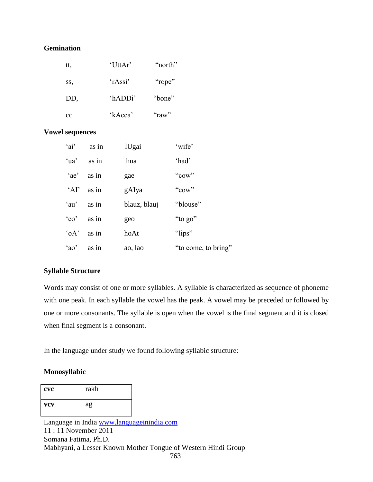## **Gemination**

| tt, | 'UttAr' | "north" |
|-----|---------|---------|
| SS, | 'rAssi' | "rope"  |
| DD, | 'hADDi' | "bone"  |
| cc  | 'kAcca' | "raw"   |

#### **Vowel sequences**

| $a$ i'         | as in | lUgai        | 'wife'              |
|----------------|-------|--------------|---------------------|
| 'ua'           | as in | hua          | 'had'               |
| $e^{\prime}$   | as in | gae          | "cow"               |
| $^{\circ}$ AI' | as in | gAIya        | "cow"               |
| 'au'           | as in | blauz, blauj | "blouse"            |
| 'eo'           | as in | geo          | "to go"             |
| $\partial A$   | as in | hoAt         | "lips"              |
| 'ao'           | as in | ao, lao      | "to come, to bring" |

#### **Syllable Structure**

Words may consist of one or more syllables. A syllable is characterized as sequence of phoneme with one peak. In each syllable the vowel has the peak. A vowel may be preceded or followed by one or more consonants. The syllable is open when the vowel is the final segment and it is closed when final segment is a consonant.

In the language under study we found following syllabic structure:

#### **Monosyllabic**

| <b>CVC</b> | rakh |
|------------|------|
| <b>VCV</b> | ag   |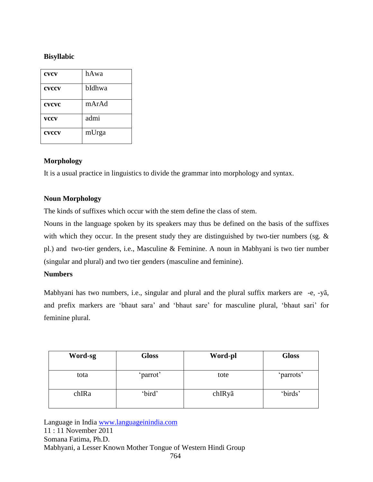# **Bisyllabic**

| <b>CVCV</b> | hAwa   |
|-------------|--------|
| cvccv       | bIdhwa |
| cvcvc       | mArAd  |
| <b>VCCV</b> | admi   |
| cvccv       | mUrga  |

## **Morphology**

It is a usual practice in linguistics to divide the grammar into morphology and syntax.

## **Noun Morphology**

The kinds of suffixes which occur with the stem define the class of stem.

Nouns in the language spoken by its speakers may thus be defined on the basis of the suffixes with which they occur. In the present study they are distinguished by two-tier numbers (sg. & pl.) and two-tier genders, i.e., Masculine & Feminine. A noun in Mabhyani is two tier number (singular and plural) and two tier genders (masculine and feminine).

#### **Numbers**

Mabhyani has two numbers, i.e., singular and plural and the plural suffix markers are -e, -yã, and prefix markers are 'bhaut sara' and 'bhaut sare' for masculine plural, 'bhaut sari' for feminine plural.

| Word-sg | <b>Gloss</b> | Word-pl | <b>Gloss</b> |
|---------|--------------|---------|--------------|
| tota    | 'parrot'     | tote    | 'parrots'    |
| chIRa   | 'bird'       | chIRyã  | 'birds'      |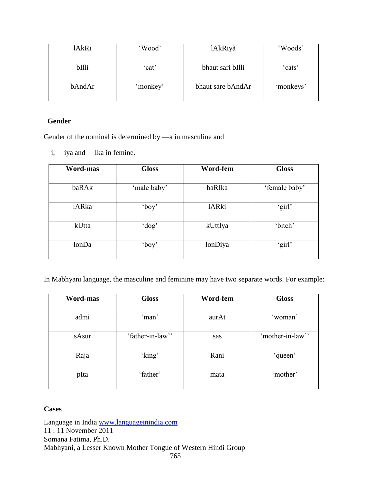| lAkRi  | 'Wood'   | lAkRiyã           | 'Woods'   |
|--------|----------|-------------------|-----------|
| bIlli  | cat'     | bhaut sari bIlli  | cats'     |
| bAndAr | 'monkey' | bhaut sare bAndAr | 'monkeys' |

## **Gender**

Gender of the nominal is determined by —a in masculine and

—i, —iya and —Ika in femine.

| <b>Word-mas</b> | <b>Gloss</b> | Word-fem     | <b>Gloss</b>  |
|-----------------|--------------|--------------|---------------|
| baRAk           | 'male baby'  | baRIka       | 'female baby' |
| <b>lARka</b>    | 'boy'        | <b>lARki</b> | 'girl'        |
| kUtta           | 'dog'        | kUttIya      | 'bitch'       |
| lonDa           | 'boy'        | lonDiya      | 'girl'        |

In Mabhyani language, the masculine and feminine may have two separate words. For example:

| <b>Word-mas</b> | <b>Gloss</b>     | Word-fem | <b>Gloss</b>     |
|-----------------|------------------|----------|------------------|
|                 |                  |          |                  |
| admi            | 'man'            | aurAt    | 'woman'          |
| sAsur           | 'father-in-law'' | sas      | 'mother-in-law'' |
| Raja            | 'king'           | Rani     | 'queen'          |
| pIta            | 'father'         | mata     | 'mother'         |

# **Cases**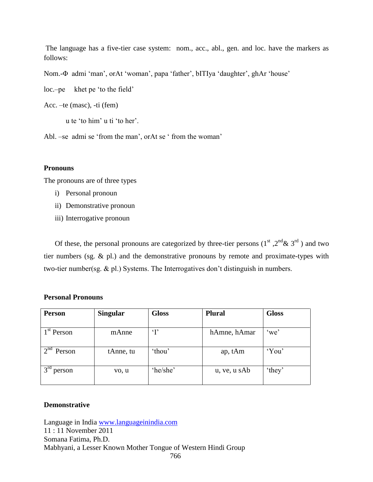The language has a five-tier case system: nom., acc., abl., gen. and loc. have the markers as follows:

Nom.-Φ admi 'man', orAt 'woman', papa 'father', bITIya 'daughter', ghAr 'house'

loc.–pe khet pe 'to the field'

Acc. –te (masc), -ti (fem)

u te 'to him' u ti 'to her'.

Abl. –se admi se 'from the man', orAt se 'from the woman'

#### **Pronouns**

The pronouns are of three types

- i) Personal pronoun
- ii) Demonstrative pronoun
- iii) Interrogative pronoun

Of these, the personal pronouns are categorized by three-tier persons  $(1<sup>st</sup>, 2<sup>nd</sup>& 3<sup>rd</sup>)$  and two tier numbers (sg. & pl.) and the demonstrative pronouns by remote and proximate-types with two-tier number(sg. & pl.) Systems. The Interrogatives don't distinguish in numbers.

#### **Personal Pronouns**

| <b>Person</b>             | <b>Singular</b> | <b>Gloss</b> | <b>Plural</b> | <b>Gloss</b> |
|---------------------------|-----------------|--------------|---------------|--------------|
|                           |                 |              |               |              |
| 1 <sup>st</sup> Person    | mAnne           | $\mathbf{T}$ | hAmne, hAmar  | 'we'         |
|                           |                 |              |               |              |
| $\gamma$ nd<br>Person     | tAnne, tu       | 'thou'       | ap, tAm       | 'You'        |
|                           |                 |              |               |              |
| 3 <sup>rd</sup><br>person | vo, u           | 'he/she'     | u, ve, u sAb  | 'they'       |
|                           |                 |              |               |              |

#### **Demonstrative**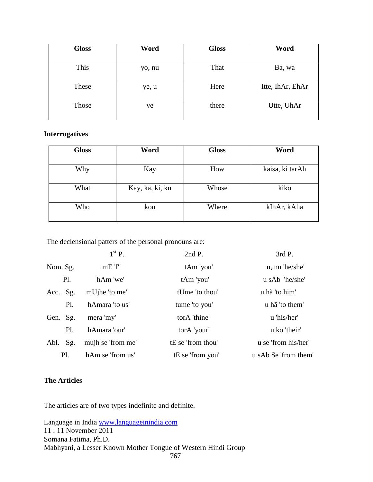| <b>Gloss</b> | Word   | <b>Gloss</b> | Word             |
|--------------|--------|--------------|------------------|
| This         | yo, nu | That         | Ba, wa           |
| These        | ye, u  | Here         | Itte, IhAr, EhAr |
| Those        | ve     | there        | Utte, UhAr       |

# **Interrogatives**

| <b>Gloss</b> | Word            | <b>Gloss</b> | Word            |
|--------------|-----------------|--------------|-----------------|
| Why          | Kay             | How          | kaisa, ki tarAh |
| What         | Kay, ka, ki, ku | Whose        | kiko            |
| Who          | kon             | Where        | kIhAr, kAha     |

The declensional patters of the personal pronouns are:

|             | $1st$ P.          | 2nd P.            | 3rd P.               |
|-------------|-------------------|-------------------|----------------------|
| Nom. Sg.    | $mE$ 'I'          | tAm 'you'         | u, nu 'he/she'       |
| P1.         | hAm 'we'          | tAm 'you'         | u sAb 'he/she'       |
| Acc. Sg.    | mUjhe 'to me'     | tUme 'to thou'    | u hã 'to him'        |
| Pl.         | hAmara 'to us'    | tume 'to you'     | u hã 'to them'       |
| Gen. Sg.    | mera 'my'         | torA 'thine'      | u 'his/her'          |
| P1.         | hAmara 'our'      | torA 'your'       | u ko 'their'         |
| Sg.<br>Abl. | mujh se 'from me' | tE se 'from thou' | u se 'from his/her'  |
| Pl.         | hAm se 'from us'  | tE se 'from you'  | u sAb Se 'from them' |

### **The Articles**

The articles are of two types indefinite and definite.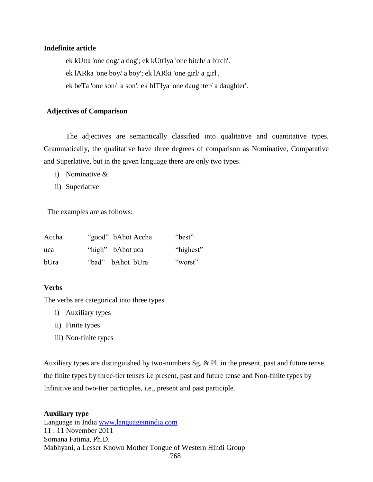#### **Indefinite article**

ek kUtta 'one dog/ a dog'; ek kUttIya 'one bitch/ a bitch'. ek lARka 'one boy/ a boy'; ek lARki 'one girl/ a girl'. ek beTa 'one son/ a son'; ek bITIya 'one daughter/ a daughter'.

#### **Adjectives of Comparison**

The adjectives are semantically classified into qualitative and quantitative types. Grammatically, the qualitative have three degrees of comparison as Nominative, Comparative and Superlative, but in the given language there are only two types.

- i) Nominative &
- ii) Superlative

The examples are as follows:

| Accha |       | "good" bAhot Accha | "best"    |
|-------|-------|--------------------|-----------|
| uca   |       | "high" bAhot uca   | "highest" |
| bUra  | "bad" | bAhot bUra         | "worst"   |

#### **Verbs**

The verbs are categorical into three types

- i) Auxiliary types
- ii) Finite types
- iii) Non-finite types

Auxiliary types are distinguished by two-numbers Sg. & Pl. in the present, past and future tense, the finite types by three-tier tenses i.e present, past and future tense and Non-finite types by Infinitive and two-tier participles, i.e., present and past participle.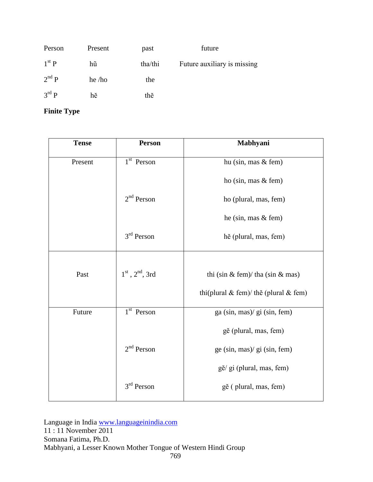| Person            | Present  | past    | future                      |
|-------------------|----------|---------|-----------------------------|
| $1st$ P           | hũ       | tha/thi | Future auxiliary is missing |
| $2^{nd}P$         | $he$ /ho | the     |                             |
| $3^{\text{rd}} P$ | hĕ       | thĕ     |                             |

# **Finite Type**

| <b>Tense</b> | <b>Person</b>                           | Mabhyani                                    |  |
|--------------|-----------------------------------------|---------------------------------------------|--|
| Present      | $1st$ Person                            | hu (sin, mas & fem)                         |  |
|              |                                         | ho (sin, mas $&$ fem)                       |  |
|              | $2nd$ Person                            | ho (plural, mas, fem)                       |  |
|              |                                         | he (sin, mas & fem)                         |  |
|              | $3rd$ Person                            | hě (plural, mas, fem)                       |  |
|              |                                         |                                             |  |
| Past         | $1^{\text{st}}$ , $2^{\text{nd}}$ , 3rd | thi (sin & fem)/ tha (sin & mas)            |  |
|              |                                         | thi(plural $\&$ fem)/ the (plural $\&$ fem) |  |
| Future       | $1st$ Person                            | ga (sin, mas)/ gi (sin, fem)                |  |
|              |                                         | gĕ (plural, mas, fem)                       |  |
|              | $2nd$ Person                            | ge (sin, mas)/ gi (sin, fem)                |  |
|              |                                         | gĕ/ gi (plural, mas, fem)                   |  |
|              | $3rd$ Person                            | gĕ (plural, mas, fem)                       |  |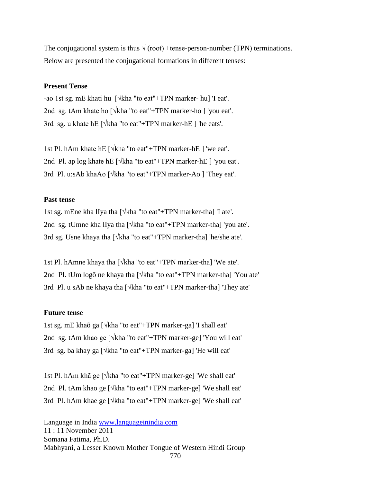The conjugational system is thus  $\sqrt{(root)}$  +tense-person-number (TPN) terminations. Below are presented the conjugational formations in different tenses:

#### **Present Tense**

-ao 1st sg. mE khati hu [√kha "to eat"+TPN marker- hu] 'I eat'. 2nd sg. tAm khate ho  $\lceil \sqrt{\kappa} \cdot \text{h} \cdot \text{h} \cdot \text{h} \cdot \text{h} \cdot \text{h} \cdot \text{h} \cdot \text{h} \cdot \text{h} \cdot \text{h} \cdot \text{h} \cdot \text{h} \cdot \text{h} \cdot \text{h} \cdot \text{h} \cdot \text{h} \cdot \text{h} \cdot \text{h} \cdot \text{h} \cdot \text{h} \cdot \text{h} \cdot \text{h} \cdot \text{h} \cdot \text{h} \cdot \text{h} \cdot \text{h} \cdot \text{h} \cdot \text{h} \$ 3rd sg. u khate hE [√kha "to eat"+TPN marker-hE ] 'he eats'.

1st Pl. hAm khate hE [√kha "to eat"+TPN marker-hE ] 'we eat'. 2nd Pl. ap log khate hE  $\lceil \sqrt{k} \cdot \text{the arc} \rceil$  \text{\math{\math{\math{\math{\math{\math{\math{\math{\math{\math{\math{\math{\math{\math{\math{\math{\math{\math{\math{\math{\math{\math{\math{\math{\math{\math{\math{\math{\m 3rd Pl. u:sAb khaAo [√kha "to eat"+TPN marker-Ao ] 'They eat'.

#### **Past tense**

1st sg. mEne kha lIya tha [√kha "to eat"+TPN marker-tha] 'I ate'. 2nd sg. tUmne kha lIya tha [√kha "to eat"+TPN marker-tha] 'you ate'. 3rd sg. Usne khaya tha [√kha "to eat"+TPN marker-tha] 'he/she ate'.

1st Pl. hAmne khaya tha [√kha "to eat"+TPN marker-tha] 'We ate'. 2nd Pl. tUm logõ ne khaya tha [√kha "to eat"+TPN marker-tha] 'You ate' 3rd Pl. u sAb ne khaya tha [√kha "to eat"+TPN marker-tha] 'They ate'

#### **Future tense**

1st sg. mE khaõ ga [√kha "to eat"+TPN marker-ga] 'I shall eat' 2nd sg. tAm khao ge [√kha "to eat"+TPN marker-ge] 'You will eat' 3rd sg. ba khay ga [√kha "to eat"+TPN marker-ga] 'He will eat'

1st Pl. hAm khã ge [√kha "to eat"+TPN marker-ge] 'We shall eat' 2nd Pl. tAm khao ge [√kha "to eat"+TPN marker-ge] 'We shall eat' 3rd Pl. hAm khae ge [√kha "to eat"+TPN marker-ge] 'We shall eat'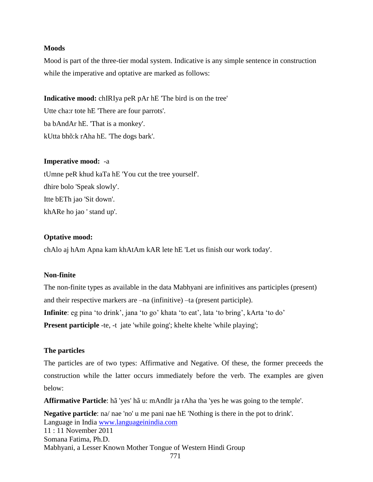#### **Moods**

Mood is part of the three-tier modal system. Indicative is any simple sentence in construction while the imperative and optative are marked as follows:

**Indicative mood:** chIRIya peR pAr hE 'The bird is on the tree'

Utte cha:r tote hE 'There are four parrots'. ba bAndAr hE. 'That is a monkey'. kUtta bhõ:k rAha hE. 'The dogs bark'.

#### **Imperative mood:** -a

tUmne peR khud kaTa hE 'You cut the tree yourself'. dhire bolo 'Speak slowly'. Itte bETh jao 'Sit down'. khARe ho jao ' stand up'.

#### **Optative mood:**

chAlo aj hAm Apna kam khAtAm kAR lete hE 'Let us finish our work today'.

#### **Non-finite**

The non-finite types as available in the data Mabhyani are infinitives ans participles (present) and their respective markers are –na (infinitive) –ta (present participle). **Infinite**: eg pina 'to drink', jana 'to go' khata 'to eat', lata 'to bring', kArta 'to do' **Present participle** -te, -t jate 'while going'; khelte khelte 'while playing';

#### **The particles**

The particles are of two types: Affirmative and Negative. Of these, the former preceeds the construction while the latter occurs immediately before the verb. The examples are given below:

**Affirmative Particle**: hã 'yes' hã u: mAndIr ja rAha tha 'yes he was going to the temple'.

Language in India [www.languageinindia.com](http://www.languageinindia.com/) 11 : 11 November 2011 Somana Fatima, Ph.D. Mabhyani, a Lesser Known Mother Tongue of Western Hindi Group 771 **Negative particle**: na/ nae 'no' u me pani nae hE 'Nothing is there in the pot to drink'.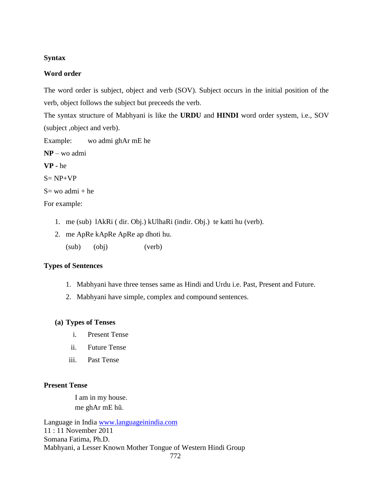#### **Syntax**

#### **Word order**

The word order is subject, object and verb (SOV). Subject occurs in the initial position of the verb, object follows the subject but preceeds the verb.

The syntax structure of Mabhyani is like the **URDU** and **HINDI** word order system, i.e., SOV (subject ,object and verb).

Example: wo admi ghAr mE he

**NP** – wo admi

**VP -** he

 $S= NP+VP$ 

 $S=$  wo admi + he

For example:

- 1. me (sub) lAkRi ( dir. Obj.) kUlhaRi (indir. Obj.) te katti hu (verb).
- 2. me ApRe kApRe ApRe ap dhoti hu. (sub) (obj) (verb)

#### **Types of Sentences**

- 1. Mabhyani have three tenses same as Hindi and Urdu i.e. Past, Present and Future.
- 2. Mabhyani have simple, complex and compound sentences.

#### **(a) Types of Tenses**

- i. Present Tense
- ii. Future Tense
- iii. Past Tense

#### **Present Tense**

 I am in my house. me ghAr mE hũ.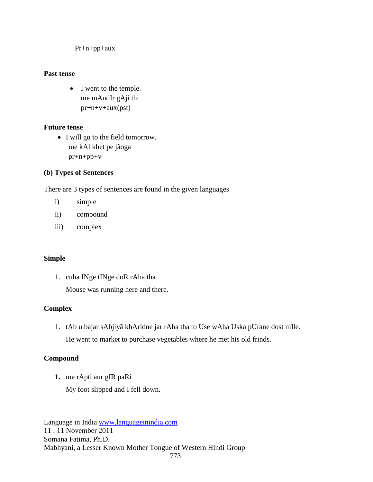Pr+n+pp+aux

#### **Past tense**

• I went to the temple. me mAndIr gAji thi pr+n+v+aux(pst)

# **Future tense**

• I will go to the field tomorrow. me kAl khet pe jãoga pr+n+pp+v

# **(b) Types of Sentences**

There are 3 types of sentences are found in the given languages

- i) simple
- ii) compound
- iii) complex

# **Simple**

1. cuha INge tINge doR rAha tha

Mouse was running here and there.

# **Complex**

1. tAb u bajar sAbjiyã khAridne jar rAha tha to Use wAha Uska pUrane dost mIle. He went to market to purchase vegetables where he met his old frinds.

# **Compound**

**1.** me rApti aur gIR paRi

My foot slipped and I fell down.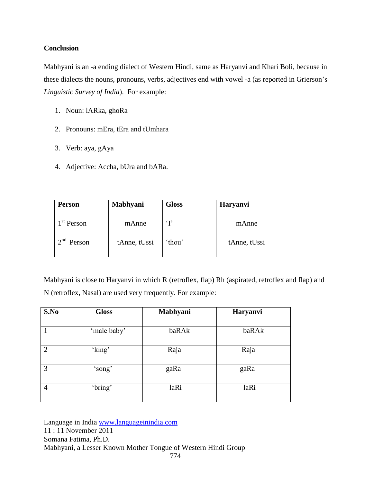### **Conclusion**

Mabhyani is an -a ending dialect of Western Hindi, same as Haryanvi and Khari Boli, because in these dialects the nouns, pronouns, verbs, adjectives end with vowel -a (as reported in Grierson's *Linguistic Survey of India*). For example:

- 1. Noun: lARka, ghoRa
- 2. Pronouns: mEra, tEra and tUmhara
- 3. Verb: aya, gAya
- 4. Adjective: Accha, bUra and bARa.

| <b>Person</b>          | Mabhyani     | <b>Gloss</b> | <b>Haryanvi</b> |
|------------------------|--------------|--------------|-----------------|
| 1 <sup>st</sup> Person | mAnne        | $\mathbf{T}$ | mAnne           |
| $\lambda$ nd<br>Person | tAnne, tUssi | 'thou'       | tAnne, tUssi    |

Mabhyani is close to Haryanvi in which R (retroflex, flap) Rh (aspirated, retroflex and flap) and N (retroflex, Nasal) are used very frequently. For example:

| S.No           | <b>Gloss</b> | Mabhyani | Haryanvi |
|----------------|--------------|----------|----------|
|                | 'male baby'  | baRAk    | baRAk    |
| $\overline{2}$ | 'king'       | Raja     | Raja     |
| 3              | 'song'       | gaRa     | gaRa     |
| 4              | 'bring'      | laRi     | laRi     |